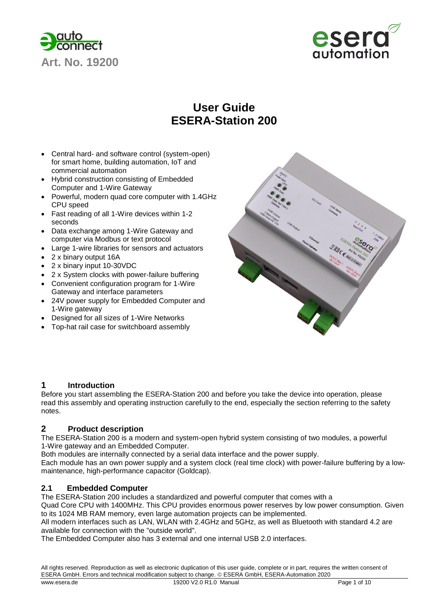



## **User Guide ESERA-Station 200**

- Central hard- and software control (system-open) for smart home, building automation, IoT and commercial automation
- Hybrid construction consisting of Embedded Computer and 1-Wire Gateway
- Powerful, modern quad core computer with 1.4GHz CPU speed
- Fast reading of all 1-Wire devices within 1-2 seconds
- Data exchange among 1-Wire Gateway and computer via Modbus or text protocol
- Large 1-wire libraries for sensors and actuators
- 2 x binary output 16A
- 2 x binary input 10-30VDC
- 2 x System clocks with power-failure buffering
- Convenient configuration program for 1-Wire Gateway and interface parameters
- 24V power supply for Embedded Computer and 1-Wire gateway
- Designed for all sizes of 1-Wire Networks
- Top-hat rail case for switchboard assembly



## **1 Introduction**

Before you start assembling the ESERA-Station 200 and before you take the device into operation, please read this assembly and operating instruction carefully to the end, especially the section referring to the safety notes.

## **2 Product description**

The ESERA-Station 200 is a modern and system-open hybrid system consisting of two modules, a powerful 1-Wire gateway and an Embedded Computer.

Both modules are internally connected by a serial data interface and the power supply.

Each module has an own power supply and a system clock (real time clock) with power-failure buffering by a lowmaintenance, high-performance capacitor (Goldcap).

## **2.1 Embedded Computer**

The ESERA-Station 200 includes a standardized and powerful computer that comes with a

Quad Core CPU with 1400MHz. This CPU provides enormous power reserves by low power consumption. Given to its 1024 MB RAM memory, even large automation projects can be implemented.

All modern interfaces such as LAN, WLAN with 2.4GHz and 5GHz, as well as Bluetooth with standard 4.2 are available for connection with the "outside world".

The Embedded Computer also has 3 external and one internal USB 2.0 interfaces.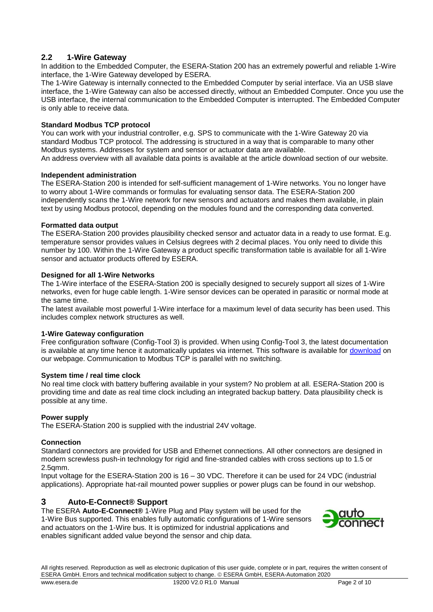## **2.2 1-Wire Gateway**

In addition to the Embedded Computer, the ESERA-Station 200 has an extremely powerful and reliable 1-Wire interface, the 1-Wire Gateway developed by ESERA.

The 1-Wire Gateway is internally connected to the Embedded Computer by serial interface. Via an USB slave interface, the 1-Wire Gateway can also be accessed directly, without an Embedded Computer. Once you use the USB interface, the internal communication to the Embedded Computer is interrupted. The Embedded Computer is only able to receive data.

#### **Standard Modbus TCP protocol**

You can work with your industrial controller, e.g. SPS to communicate with the 1-Wire Gateway 20 via standard Modbus TCP protocol. The addressing is structured in a way that is comparable to many other Modbus systems. Addresses for system and sensor or actuator data are available. An address overview with all available data points is available at the article download section of our website.

#### **Independent administration**

The ESERA-Station 200 is intended for self-sufficient management of 1-Wire networks. You no longer have to worry about 1-Wire commands or formulas for evaluating sensor data. The ESERA-Station 200 independently scans the 1-Wire network for new sensors and actuators and makes them available, in plain text by using Modbus protocol, depending on the modules found and the corresponding data converted.

#### **Formatted data output**

The ESERA-Station 200 provides plausibility checked sensor and actuator data in a ready to use format. E.g. temperature sensor provides values in Celsius degrees with 2 decimal places. You only need to divide this number by 100. Within the 1-Wire Gateway a product specific transformation table is available for all 1-Wire sensor and actuator products offered by ESERA.

#### **Designed for all 1-Wire Networks**

The 1-Wire interface of the ESERA-Station 200 is specially designed to securely support all sizes of 1-Wire networks, even for huge cable length. 1-Wire sensor devices can be operated in parasitic or normal mode at the same time.

The latest available most powerful 1-Wire interface for a maximum level of data security has been used. This includes complex network structures as well.

#### **1-Wire Gateway configuration**

Free configuration software (Config-Tool 3) is provided. When using Config-Tool 3, the latest documentation is available at any time hence it automatically updates via internet. This software is available for [download](https://www.esera.de/produkte/software/downloads-firmware-1-wire-controller-1-wire-gateway/) on our webpage. Communication to Modbus TCP is parallel with no switching.

#### **System time / real time clock**

No real time clock with battery buffering available in your system? No problem at all. ESERA-Station 200 is providing time and date as real time clock including an integrated backup battery. Data plausibility check is possible at any time.

#### **Power supply**

The ESERA-Station 200 is supplied with the industrial 24V voltage.

#### **Connection**

Standard connectors are provided for USB and Ethernet connections. All other connectors are designed in modern screwless push-in technology for rigid and fine-stranded cables with cross sections up to 1.5 or 2.5qmm.

Input voltage for the ESERA-Station 200 is 16 – 30 VDC. Therefore it can be used for 24 VDC (industrial applications). Appropriate hat-rail mounted power supplies or power plugs can be found in our webshop.

## **3 Auto-E-Connect® Support**

The ESERA **Auto-E-Connect®** 1-Wire Plug and Play system will be used for the 1-Wire Bus supported. This enables fully automatic configurations of 1-Wire sensors and actuators on the 1-Wire bus. It is optimized for industrial applications and enables significant added value beyond the sensor and chip data.

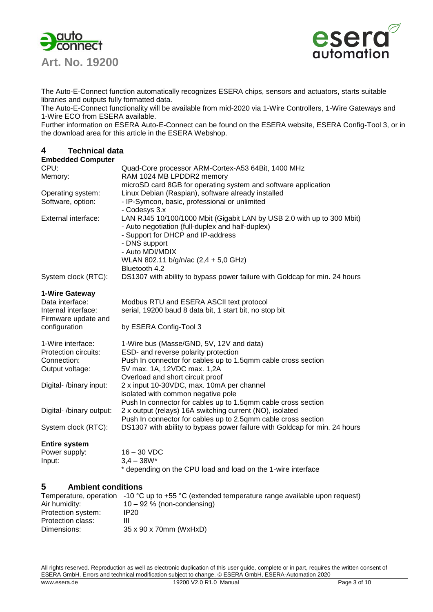

**Art. No. 19200** 



The Auto-E-Connect function automatically recognizes ESERA chips, sensors and actuators, starts suitable libraries and outputs fully formatted data.

The Auto-E-Connect functionality will be available from mid-2020 via 1-Wire Controllers, 1-Wire Gateways and 1-Wire ECO from ESERA available.

Further information on ESERA Auto-E-Connect can be found on the ESERA website, ESERA Config-Tool 3, or in the download area for this article in the ESERA Webshop.

## **4 Technical data**

| <b>Embedded Computer</b>                                                    |                                                                                                                                                                                                     |
|-----------------------------------------------------------------------------|-----------------------------------------------------------------------------------------------------------------------------------------------------------------------------------------------------|
| CPU:                                                                        | Quad-Core processor ARM-Cortex-A53 64Bit, 1400 MHz                                                                                                                                                  |
| Memory:                                                                     | RAM 1024 MB LPDDR2 memory                                                                                                                                                                           |
|                                                                             | microSD card 8GB for operating system and software application                                                                                                                                      |
| Operating system:                                                           | Linux Debian (Raspian), software already installed                                                                                                                                                  |
| Software, option:                                                           | - IP-Symcon, basic, professional or unlimited                                                                                                                                                       |
|                                                                             | - Codesys 3.x                                                                                                                                                                                       |
| External interface:                                                         | LAN RJ45 10/100/1000 Mbit (Gigabit LAN by USB 2.0 with up to 300 Mbit)<br>- Auto negotiation (full-duplex and half-duplex)<br>- Support for DHCP and IP-address<br>- DNS support<br>- Auto MDI/MDIX |
|                                                                             | WLAN 802.11 b/g/n/ac (2,4 + 5,0 GHz)                                                                                                                                                                |
| System clock (RTC):                                                         | Bluetooth 4.2<br>DS1307 with ability to bypass power failure with Goldcap for min. 24 hours                                                                                                         |
|                                                                             |                                                                                                                                                                                                     |
| 1-Wire Gateway<br>Data interface:                                           | Modbus RTU and ESERA ASCII text protocol                                                                                                                                                            |
| Internal interface:                                                         | serial, 19200 baud 8 data bit, 1 start bit, no stop bit                                                                                                                                             |
| Firmware update and                                                         |                                                                                                                                                                                                     |
| configuration                                                               | by ESERA Config-Tool 3                                                                                                                                                                              |
| 1-Wire interface:<br>Protection circuits:<br>Connection:<br>Output voltage: | 1-Wire bus (Masse/GND, 5V, 12V and data)<br>ESD- and reverse polarity protection<br>Push In connector for cables up to 1.5qmm cable cross section<br>5V max. 1A, 12VDC max. 1,2A                    |
|                                                                             | Overload and short circuit proof                                                                                                                                                                    |
| Digital- /binary input:                                                     | 2 x input 10-30VDC, max. 10mA per channel                                                                                                                                                           |
|                                                                             | isolated with common negative pole<br>Push In connector for cables up to 1.5qmm cable cross section                                                                                                 |
| Digital- /binary output:                                                    | 2 x output (relays) 16A switching current (NO), isolated                                                                                                                                            |
|                                                                             | Push In connector for cables up to 2.5qmm cable cross section                                                                                                                                       |
| System clock (RTC):                                                         | DS1307 with ability to bypass power failure with Goldcap for min. 24 hours                                                                                                                          |
| <b>Entire system</b>                                                        |                                                                                                                                                                                                     |
| Power supply:                                                               | $16 - 30$ VDC                                                                                                                                                                                       |
| Input:                                                                      | $3,4 - 38W*$                                                                                                                                                                                        |
|                                                                             | * depending on the CPU load and load on the 1-wire interface                                                                                                                                        |
| 5<br><b>Ambient conditions</b>                                              |                                                                                                                                                                                                     |
| Air humidity:                                                               | Temperature, operation -10 °C up to +55 °C (extended temperature range available upon request)<br>$10 - 92$ % (non-condensing)                                                                      |
| D <sub>rotation</sub>                                                       | ∩פרוו                                                                                                                                                                                               |

Protection system: IP20 Protection class: III Dimensions: 35 x 90 x 70mm (WxHxD)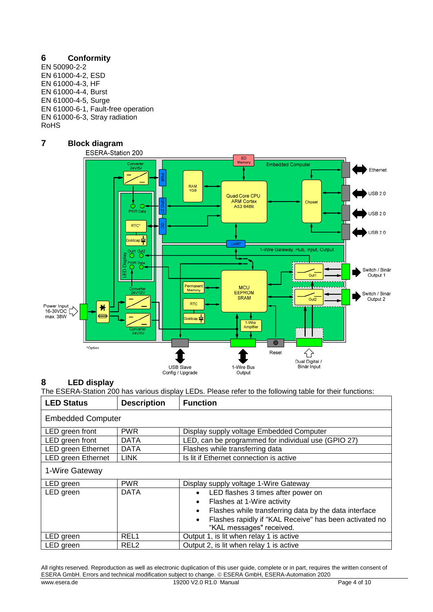## **6 Conformity**

EN 50090-2-2 EN 61000-4-2, ESD EN 61000-4-3, HF EN 61000-4-4, Burst EN 61000-4-5, Surge EN 61000-6-1, Fault-free operation EN 61000-6-3, Stray radiation RoHS

# **7 Block diagram**



## **8 LED display**

The ESERA-Station 200 has various display LEDs. Please refer to the following table for their functions:

| <b>LED Status</b>        | <b>Description</b> | <b>Function</b>                                                     |  |  |  |
|--------------------------|--------------------|---------------------------------------------------------------------|--|--|--|
| <b>Embedded Computer</b> |                    |                                                                     |  |  |  |
| LED green front          | <b>PWR</b>         | Display supply voltage Embedded Computer                            |  |  |  |
| LED green front          | <b>DATA</b>        | LED, can be programmed for individual use (GPIO 27)                 |  |  |  |
| LED green Ethernet       | <b>DATA</b>        | Flashes while transferring data                                     |  |  |  |
| LED green Ethernet       | <b>LINK</b>        | Is lit if Ethernet connection is active                             |  |  |  |
| 1-Wire Gateway           |                    |                                                                     |  |  |  |
| LED green                | <b>PWR</b>         | Display supply voltage 1-Wire Gateway                               |  |  |  |
| LED green                | <b>DATA</b>        | LED flashes 3 times after power on<br>$\bullet$                     |  |  |  |
|                          |                    | Flashes at 1-Wire activity<br>$\bullet$                             |  |  |  |
|                          |                    | Flashes while transferring data by the data interface<br>$\bullet$  |  |  |  |
|                          |                    | Flashes rapidly if "KAL Receive" has been activated no<br>$\bullet$ |  |  |  |
|                          |                    | "KAL messages" received.                                            |  |  |  |
| LED green                | REL <sub>1</sub>   | Output 1, is lit when relay 1 is active                             |  |  |  |
| LED green                | REL <sub>2</sub>   | Output 2, is lit when relay 1 is active                             |  |  |  |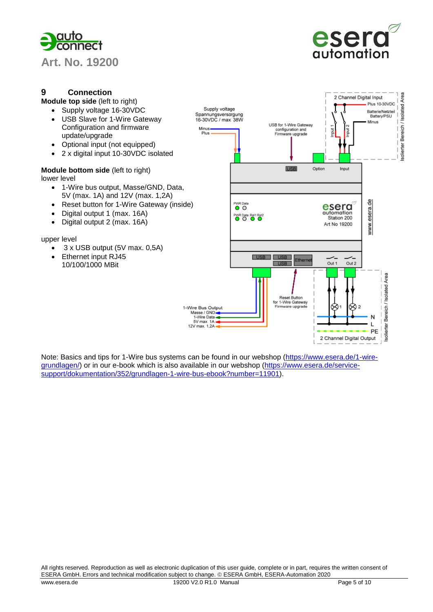



Area

Bereich / Isolated

Isolierter

## **9 Connection**

**Module top side** (left to right)

- Supply voltage 16-30VDC
	- USB Slave for 1-Wire Gateway Configuration and firmware update/upgrade
	- Optional input (not equipped)
	- 2 x digital input 10-30VDC isolated

#### **Module bottom side** (left to right) lower level

- 1-Wire bus output, Masse/GND, Data, 5V (max. 1A) and 12V (max. 1,2A)
- Reset button for 1-Wire Gateway (inside)
- Digital output 1 (max. 16A)
- Digital output 2 (max. 16A)

#### upper level

- 3 x USB output (5V max. 0,5A)
- Ethernet input RJ45 10/100/1000 MBit



Note: Basics and tips for 1-Wire bus systems can be found in our webshop [\(https://www.esera.de/1-wire](https://www.esera.de/1-wire-grundlagen/)[grundlagen/\)](https://www.esera.de/1-wire-grundlagen/) or in our e-book which is also available in our webshop [\(https://www.esera.de/service](https://www.esera.de/service-support/dokumentation/352/grundlagen-1-wire-bus-ebook?number=11901)[support/dokumentation/352/grundlagen-1-wire-bus-ebook?number=11901\)](https://www.esera.de/service-support/dokumentation/352/grundlagen-1-wire-bus-ebook?number=11901).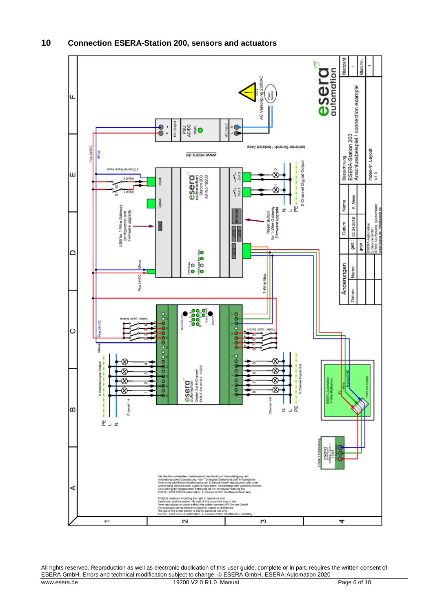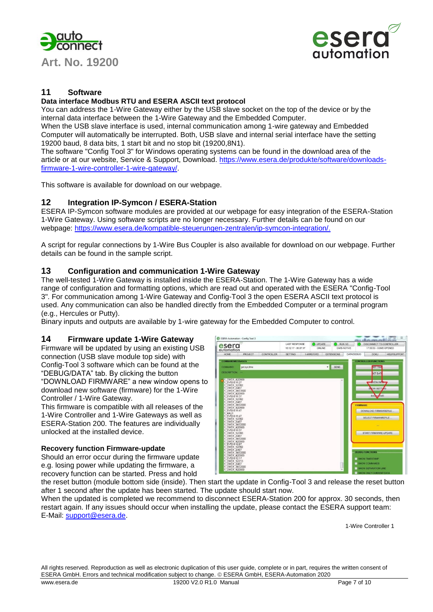



## **11 Software**

#### **Data interface Modbus RTU and ESERA ASCII text protocol**

You can address the 1-Wire Gateway either by the USB slave socket on the top of the device or by the internal data interface between the 1-Wire Gateway and the Embedded Computer.

When the USB slave interface is used, internal communication among 1-wire gateway and Embedded Computer will automatically be interrupted. Both, USB slave and internal serial interface have the setting 19200 baud, 8 data bits, 1 start bit and no stop bit (19200,8N1).

The software "Config Tool 3" for Windows operating systems can be found in the download area of the article or at our website, Service & Support, Download. [https://www.esera.de/produkte/software/downloads](https://www.esera.de/produkte/software/downloads-firmware-1-wire-controller-1-wire-gateway/)[firmware-1-wire-controller-1-wire-gateway/.](https://www.esera.de/produkte/software/downloads-firmware-1-wire-controller-1-wire-gateway/)

This software is available for download on our webpage.

#### **12 Integration IP-Symcon / ESERA-Station**

ESERA IP-Symcon software modules are provided at our webpage for easy integration of the ESERA-Station 1-Wire Gateway. Using software scripts are no longer necessary. Further details can be found on our webpage: [https://www.esera.de/kompatible-steuerungen-zentralen/ip-symcon-integration/.](https://www.esera.de/kompatible-steuerungen-zentralen/ip-symcon-integration/)

A script for regular connections by 1-Wire Bus Coupler is also available for download on our webpage. Further details can be found in the sample script.

#### **13 Configuration and communication 1-Wire Gateway**

The well-tested 1-Wire Gateway is installed inside the ESERA-Station. The 1-Wire Gateway has a wide range of configuration and formatting options, which are read out and operated with the ESERA "Config-Tool 3". For communication among 1-Wire Gateway and Config-Tool 3 the open ESERA ASCII text protocol is used. Any communication can also be handled directly from the Embedded Computer or a terminal program (e.g., Hercules or Putty).

Binary inputs and outputs are available by 1-wire gateway for the Embedded Computer to control.

#### **14 Firmware update 1-Wire Gateway**

Firmware will be updated by using an existing USB connection (USB slave module top side) with Config-Tool 3 software which can be found at the "DEBUG/DATA" tab. By clicking the button "DOWNLOAD FIRMWARE" a new window opens to download new software (firmware) for the 1-Wire Controller / 1-Wire Gateway.

This firmware is compatible with all releases of the 1-Wire Controller and 1-Wire Gateways as well as ESERA-Station 200. The features are individually unlocked at the installed device.

#### **Recovery function Firmware-update**

Should an error occur during the firmware update e.g. losing power while updating the firmware, a recovery function can be started. Press and hold



the reset button (module bottom side (inside). Then start the update in Config-Tool 3 and release the reset button after 1 second after the update has been started. The update should start now.

When the updated is completed we recommend to disconnect ESERA-Station 200 for approx. 30 seconds, then restart again. If any issues should occur when installing the update, please contact the ESERA support team: E-Mail: [support@esera.de.](mailto:support@esera.de)

1-Wire Controller 1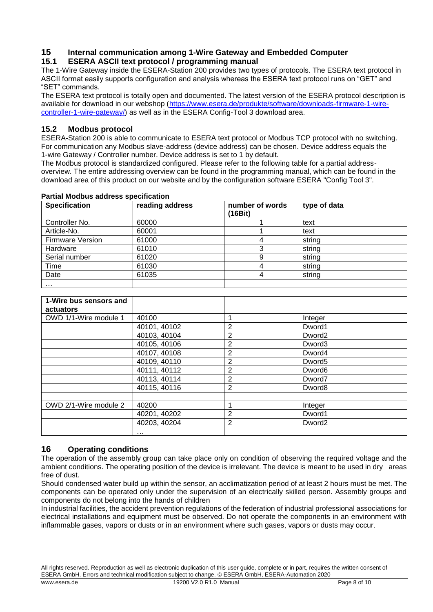## **15 Internal communication among 1-Wire Gateway and Embedded Computer 15.1 ESERA ASCII text protocol / programming manual**

The 1-Wire Gateway inside the ESERA-Station 200 provides two types of protocols. The ESERA text protocol in ASCII format easily supports configuration and analysis whereas the ESERA text protocol runs on "GET" and "SET" commands.

The ESERA text protocol is totally open and documented. The latest version of the ESERA protocol description is available for download in our webshop [\(https://www.esera.de/produkte/software/downloads-firmware-1-wire](https://www.esera.de/produkte/software/downloads-firmware-1-wire-controller-1-wire-gateway/)[controller-1-wire-gateway/\)](https://www.esera.de/produkte/software/downloads-firmware-1-wire-controller-1-wire-gateway/) as well as in the ESERA Config-Tool 3 download area.

## **15.2 Modbus protocol**

ESERA-Station 200 is able to communicate to ESERA text protocol or Modbus TCP protocol with no switching. For communication any Modbus slave-address (device address) can be chosen. Device address equals the 1-wire Gateway / Controller number. Device address is set to 1 by default.

The Modbus protocol is standardized configured. Please refer to the following table for a partial addressoverview. The entire addressing overview can be found in the programming manual, which can be found in the download area of this product on our website and by the configuration software ESERA "Config Tool 3".

| <b>Specification</b>    | reading address | number of words<br>(16Bit) | type of data |
|-------------------------|-----------------|----------------------------|--------------|
| Controller No.          | 60000           |                            | text         |
| Article-No.             | 60001           |                            | text         |
| <b>Firmware Version</b> | 61000           |                            | string       |
| Hardware                | 61010           | 3                          | string       |
| Serial number           | 61020           |                            | string       |
| Time                    | 61030           |                            | string       |
| Date                    | 61035           | 4                          | string       |
| $\cdots$                |                 |                            |              |

#### **Partial Modbus address specification**

| 1-Wire bus sensors and<br>actuators |              |                |                    |  |
|-------------------------------------|--------------|----------------|--------------------|--|
| OWD 1/1-Wire module 1               | 40100        |                | Integer            |  |
|                                     | 40101, 40102 | 2              | Dword1             |  |
|                                     | 40103, 40104 | 2              | Dword <sub>2</sub> |  |
|                                     | 40105, 40106 | 2              | Dword <sub>3</sub> |  |
|                                     | 40107, 40108 | $\overline{2}$ | Dword4             |  |
|                                     | 40109, 40110 | $\overline{2}$ | Dword <sub>5</sub> |  |
|                                     | 40111, 40112 | $\overline{2}$ | Dword <sub>6</sub> |  |
|                                     | 40113, 40114 | 2              | Dword7             |  |
|                                     | 40115, 40116 | $\overline{2}$ | Dword <sub>8</sub> |  |
| OWD 2/1-Wire module 2               | 40200        |                | Integer            |  |
|                                     | 40201, 40202 | 2              | Dword1             |  |
|                                     | 40203, 40204 | 2              | Dword <sub>2</sub> |  |
|                                     | $\cdots$     |                |                    |  |

## **16 Operating conditions**

The operation of the assembly group can take place only on condition of observing the required voltage and the ambient conditions. The operating position of the device is irrelevant. The device is meant to be used in dry areas free of dust.

Should condensed water build up within the sensor, an acclimatization period of at least 2 hours must be met. The components can be operated only under the supervision of an electrically skilled person. Assembly groups and components do not belong into the hands of children

In industrial facilities, the accident prevention regulations of the federation of industrial professional associations for electrical installations and equipment must be observed. Do not operate the components in an environment with inflammable gases, vapors or dusts or in an environment where such gases, vapors or dusts may occur.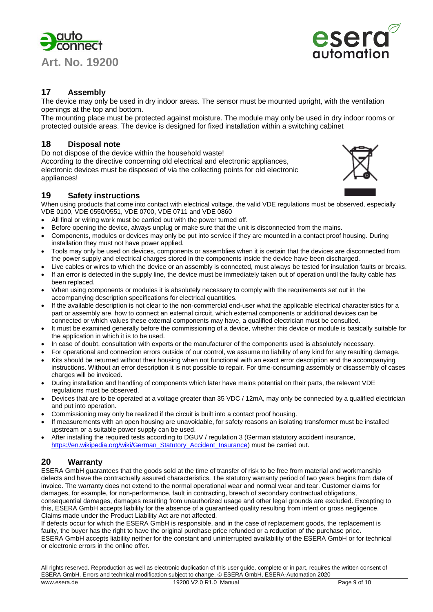



## **17 Assembly**

The device may only be used in dry indoor areas. The sensor must be mounted upright, with the ventilation openings at the top and bottom.

The mounting place must be protected against moisture. The module may only be used in dry indoor rooms or protected outside areas. The device is designed for fixed installation within a switching cabinet

## **18 Disposal note**

Do not dispose of the device within the household waste!

According to the directive concerning old electrical and electronic appliances, electronic devices must be disposed of via the collecting points for old electronic appliances!

## **19 Safety instructions**

When using products that come into contact with electrical voltage, the valid VDE regulations must be observed, especially VDE 0100, VDE 0550/0551, VDE 0700, VDE 0711 and VDE 0860

- All final or wiring work must be carried out with the power turned off.
- Before opening the device, always unplug or make sure that the unit is disconnected from the mains.
- Components, modules or devices may only be put into service if they are mounted in a contact proof housing. During installation they must not have power applied.
- Tools may only be used on devices, components or assemblies when it is certain that the devices are disconnected from the power supply and electrical charges stored in the components inside the device have been discharged.
- Live cables or wires to which the device or an assembly is connected, must always be tested for insulation faults or breaks. If an error is detected in the supply line, the device must be immediately taken out of operation until the faulty cable has
- been replaced. When using components or modules it is absolutely necessary to comply with the requirements set out in the
- accompanying description specifications for electrical quantities. If the available description is not clear to the non-commercial end-user what the applicable electrical characteristics for a part or assembly are, how to connect an external circuit, which external components or additional devices can be connected or which values these external components may have, a qualified electrician must be consulted.
- It must be examined generally before the commissioning of a device, whether this device or module is basically suitable for the application in which it is to be used.
- In case of doubt, consultation with experts or the manufacturer of the components used is absolutely necessary.
- For operational and connection errors outside of our control, we assume no liability of any kind for any resulting damage.
- Kits should be returned without their housing when not functional with an exact error description and the accompanying instructions. Without an error description it is not possible to repair. For time-consuming assembly or disassembly of cases charges will be invoiced.
- During installation and handling of components which later have mains potential on their parts, the relevant VDE regulations must be observed.
- Devices that are to be operated at a voltage greater than 35 VDC / 12mA, may only be connected by a qualified electrician and put into operation.
- Commissioning may only be realized if the circuit is built into a contact proof housing.
- If measurements with an open housing are unavoidable, for safety reasons an isolating transformer must be installed upstream or a suitable power supply can be used.
- After installing the required tests according to DGUV / regulation 3 (German statutory accident insurance, [https://en.wikipedia.org/wiki/German\\_Statutory\\_Accident\\_Insurance\)](https://en.wikipedia.org/wiki/German_Statutory_Accident_Insurance) must be carried out.

## **20 Warranty**

ESERA GmbH guarantees that the goods sold at the time of transfer of risk to be free from material and workmanship defects and have the contractually assured characteristics. The statutory warranty period of two years begins from date of invoice. The warranty does not extend to the normal operational wear and normal wear and tear. Customer claims for damages, for example, for non-performance, fault in contracting, breach of secondary contractual obligations, consequential damages, damages resulting from unauthorized usage and other legal grounds are excluded. Excepting to this, ESERA GmbH accepts liability for the absence of a guaranteed quality resulting from intent or gross negligence. Claims made under the Product Liability Act are not affected.

If defects occur for which the ESERA GmbH is responsible, and in the case of replacement goods, the replacement is faulty, the buyer has the right to have the original purchase price refunded or a reduction of the purchase price. ESERA GmbH accepts liability neither for the constant and uninterrupted availability of the ESERA GmbH or for technical or electronic errors in the online offer.